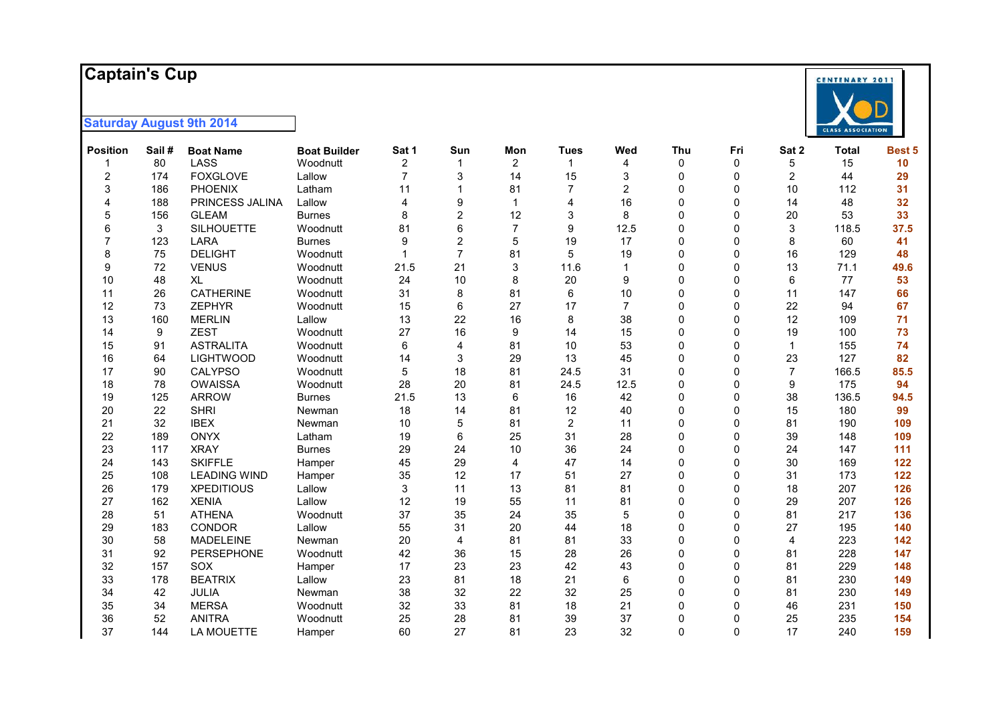#### **Captain's Cup**



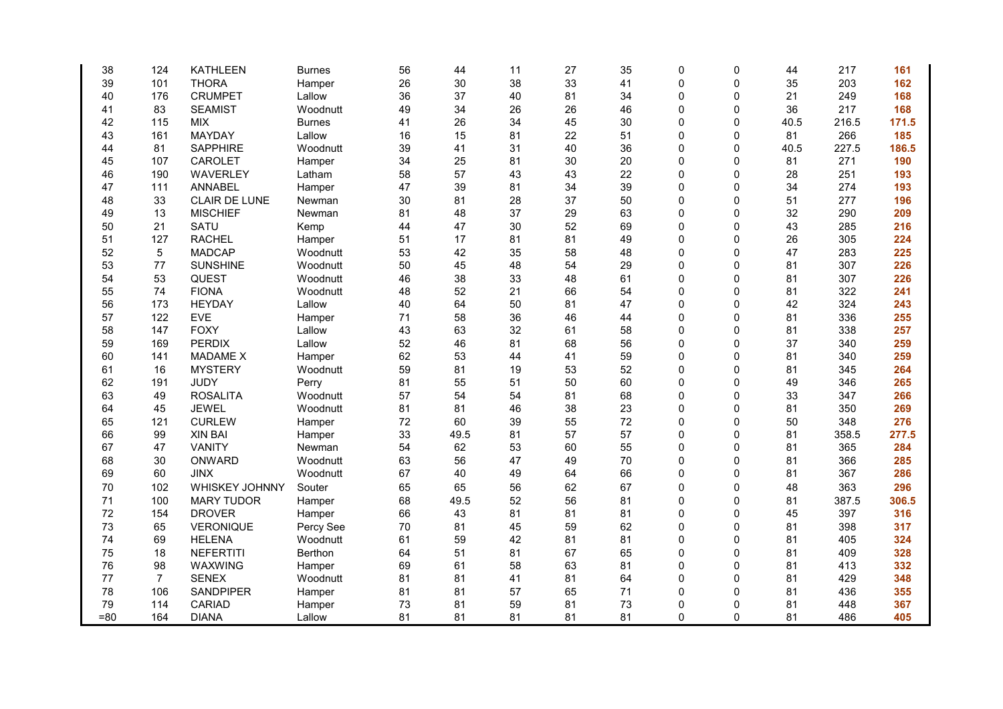| 38     | 124            | <b>KATHLEEN</b>   | Burnes        | 56 | 44   | 11 | 27 | 35 | 0            | 0           | 44   | 217   | 161   |
|--------|----------------|-------------------|---------------|----|------|----|----|----|--------------|-------------|------|-------|-------|
| 39     | 101            | <b>THORA</b>      | Hamper        | 26 | 30   | 38 | 33 | 41 | 0            | 0           | 35   | 203   | 162   |
| 40     | 176            | <b>CRUMPET</b>    | Lallow        | 36 | 37   | 40 | 81 | 34 | 0            | 0           | 21   | 249   | 168   |
| 41     | 83             | <b>SEAMIST</b>    | Woodnutt      | 49 | 34   | 26 | 26 | 46 | 0            | 0           | 36   | 217   | 168   |
| 42     | 115            | <b>MIX</b>        | <b>Burnes</b> | 41 | 26   | 34 | 45 | 30 | 0            | 0           | 40.5 | 216.5 | 171.5 |
| 43     | 161            | <b>MAYDAY</b>     | Lallow        | 16 | 15   | 81 | 22 | 51 | $\mathbf{0}$ | 0           | 81   | 266   | 185   |
| 44     | 81             | <b>SAPPHIRE</b>   | Woodnutt      | 39 | 41   | 31 | 40 | 36 | $\mathbf{0}$ | 0           | 40.5 | 227.5 | 186.5 |
| 45     | 107            | CAROLET           | Hamper        | 34 | 25   | 81 | 30 | 20 | 0            | 0           | 81   | 271   | 190   |
| 46     | 190            | WAVERLEY          | Latham        | 58 | 57   | 43 | 43 | 22 | 0            | 0           | 28   | 251   | 193   |
| 47     | 111            | <b>ANNABEL</b>    | Hamper        | 47 | 39   | 81 | 34 | 39 | 0            | 0           | 34   | 274   | 193   |
| 48     | 33             | CLAIR DE LUNE     | Newman        | 30 | 81   | 28 | 37 | 50 | 0            | 0           | 51   | 277   | 196   |
| 49     | 13             | <b>MISCHIEF</b>   | Newman        | 81 | 48   | 37 | 29 | 63 | 0            | 0           | 32   | 290   | 209   |
| 50     | 21             | SATU              | Kemp          | 44 | 47   | 30 | 52 | 69 | $\mathbf{0}$ | 0           | 43   | 285   | 216   |
| 51     | 127            | <b>RACHEL</b>     | Hamper        | 51 | 17   | 81 | 81 | 49 | $\mathbf{0}$ | 0           | 26   | 305   | 224   |
| 52     | 5              | <b>MADCAP</b>     | Woodnutt      | 53 | 42   | 35 | 58 | 48 | $\mathbf{0}$ | 0           | 47   | 283   | 225   |
| 53     | 77             | <b>SUNSHINE</b>   | Woodnutt      | 50 | 45   | 48 | 54 | 29 | 0            | 0           | 81   | 307   | 226   |
| 54     | 53             | QUEST             | Woodnutt      | 46 | 38   | 33 | 48 | 61 | $\mathbf{0}$ | 0           | 81   | 307   | 226   |
| 55     | 74             | <b>FIONA</b>      | Woodnutt      | 48 | 52   | 21 | 66 | 54 | $\mathbf{0}$ | 0           | 81   | 322   | 241   |
| 56     | 173            | <b>HEYDAY</b>     | Lallow        | 40 | 64   | 50 | 81 | 47 | $\mathbf{0}$ | 0           | 42   | 324   | 243   |
| 57     | 122            | <b>EVE</b>        | Hamper        | 71 | 58   | 36 | 46 | 44 | 0            | 0           | 81   | 336   | 255   |
| 58     | 147            | <b>FOXY</b>       | Lallow        | 43 | 63   | 32 | 61 | 58 | $\mathbf{0}$ | 0           | 81   | 338   | 257   |
| 59     | 169            | <b>PERDIX</b>     | Lallow        | 52 | 46   | 81 | 68 | 56 | 0            | $\mathbf 0$ | 37   | 340   | 259   |
| 60     | 141            | <b>MADAME X</b>   | Hamper        | 62 | 53   | 44 | 41 | 59 | 0            | 0           | 81   | 340   | 259   |
| 61     | 16             | <b>MYSTERY</b>    | Woodnutt      | 59 | 81   | 19 | 53 | 52 | 0            | 0           | 81   | 345   | 264   |
| 62     | 191            | <b>JUDY</b>       | Perry         | 81 | 55   | 51 | 50 | 60 | $\mathbf{0}$ | 0           | 49   | 346   | 265   |
| 63     | 49             | <b>ROSALITA</b>   | Woodnutt      | 57 | 54   | 54 | 81 | 68 | 0            | 0           | 33   | 347   | 266   |
| 64     | 45             | <b>JEWEL</b>      | Woodnutt      | 81 | 81   | 46 | 38 | 23 | 0            | 0           | 81   | 350   | 269   |
| 65     | 121            | <b>CURLEW</b>     | Hamper        | 72 | 60   | 39 | 55 | 72 | 0            | 0           | 50   | 348   | 276   |
| 66     | 99             | <b>XIN BAI</b>    | Hamper        | 33 | 49.5 | 81 | 57 | 57 | $\mathbf{0}$ | 0           | 81   | 358.5 | 277.5 |
| 67     | 47             | VANITY            | Newman        | 54 | 62   | 53 | 60 | 55 | 0            | 0           | 81   | 365   | 284   |
| 68     | 30             | ONWARD            | Woodnutt      | 63 | 56   | 47 | 49 | 70 | 0            | 0           | 81   | 366   | 285   |
| 69     | 60             | <b>JINX</b>       | Woodnutt      | 67 | 40   | 49 | 64 | 66 | 0            | 0           | 81   | 367   | 286   |
| 70     | 102            | WHISKEY JOHNNY    | Souter        | 65 | 65   | 56 | 62 | 67 | $\mathbf{0}$ | $\Omega$    | 48   | 363   | 296   |
| 71     | 100            | <b>MARY TUDOR</b> | Hamper        | 68 | 49.5 | 52 | 56 | 81 | 0            | 0           | 81   | 387.5 | 306.5 |
| 72     | 154            | <b>DROVER</b>     | Hamper        | 66 | 43   | 81 | 81 | 81 | 0            | 0           | 45   | 397   | 316   |
| 73     | 65             | <b>VERONIQUE</b>  | Percy See     | 70 | 81   | 45 | 59 | 62 | 0            | 0           | 81   | 398   | 317   |
| 74     | 69             | <b>HELENA</b>     | Woodnutt      | 61 | 59   | 42 | 81 | 81 | $\mathbf{0}$ | 0           | 81   | 405   | 324   |
| 75     | 18             | <b>NEFERTITI</b>  | Berthon       | 64 | 51   | 81 | 67 | 65 | 0            | 0           | 81   | 409   | 328   |
| 76     | 98             | WAXWING           | Hamper        | 69 | 61   | 58 | 63 | 81 | 0            | 0           | 81   | 413   | 332   |
| 77     | $\overline{7}$ | <b>SENEX</b>      | Woodnutt      | 81 | 81   | 41 | 81 | 64 | $\mathbf{0}$ | 0           | 81   | 429   | 348   |
| 78     | 106            | <b>SANDPIPER</b>  | Hamper        | 81 | 81   | 57 | 65 | 71 | 0            | 0           | 81   | 436   | 355   |
| 79     | 114            | CARIAD            | Hamper        | 73 | 81   | 59 | 81 | 73 | 0            | 0           | 81   | 448   | 367   |
| $= 80$ | 164            | <b>DIANA</b>      | Lallow        | 81 | 81   | 81 | 81 | 81 | 0            | 0           | 81   | 486   | 405   |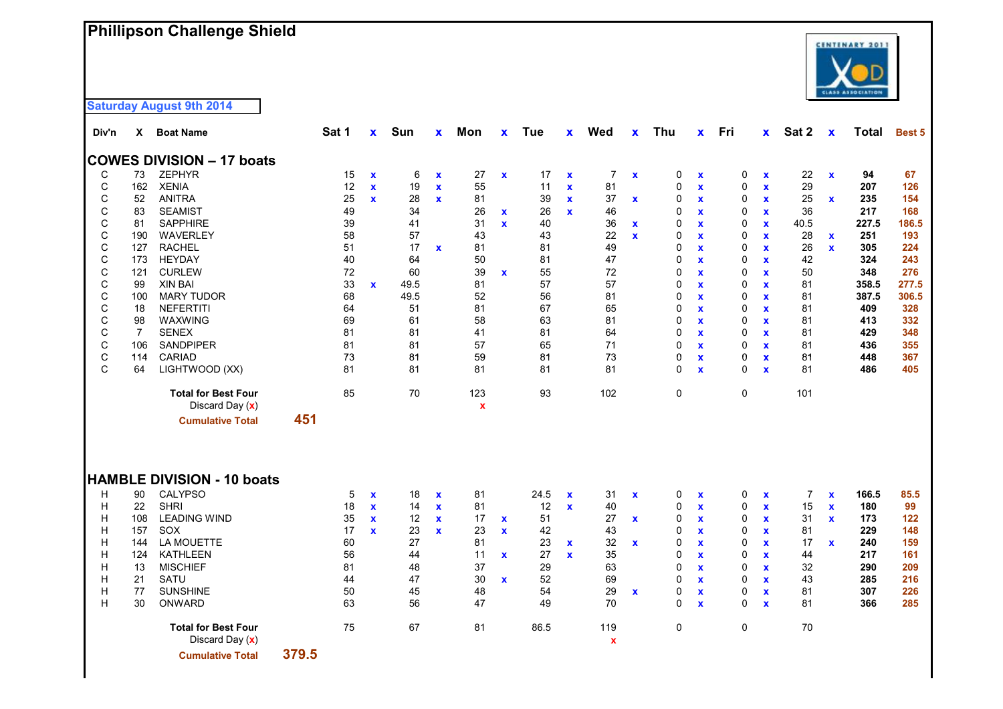## **Phillipson Challenge Shield**

**Saturday August 9th 2014**

| Div'n        | X.             | <b>Boat Name</b>                                |       | Sat 1 | X            | Sun  | X           | Mon      | X                  | <b>Tue</b> | $\mathbf{x}$ | Wed                | $\mathbf{x}$ | Thu         | $\mathbf{x}$ | Fri         | <b>X</b>     | Sat 2 | $\mathbf x$        | <b>Total</b> | <b>Best 5</b> |
|--------------|----------------|-------------------------------------------------|-------|-------|--------------|------|-------------|----------|--------------------|------------|--------------|--------------------|--------------|-------------|--------------|-------------|--------------|-------|--------------------|--------------|---------------|
|              |                | <b>COWES DIVISION - 17 boats</b>                |       |       |              |      |             |          |                    |            |              |                    |              |             |              |             |              |       |                    |              |               |
| C            | 73             | ZEPHYR                                          |       | 15    | $\mathbf x$  | 6    | $\mathbf x$ | 27       | $\pmb{\mathsf{x}}$ | 17         | $\mathbf x$  | 7                  | $\mathbf x$  | 0           | $\mathbf x$  | 0           | $\mathbf x$  | 22    | $\pmb{\mathsf{x}}$ | 94           | 67            |
| C            | 162            | <b>XENIA</b>                                    |       | 12    | $\mathbf x$  | 19   | $\mathbf x$ | 55       |                    | 11         | $\mathbf x$  | 81                 |              | $\mathbf 0$ | $\pmb{\chi}$ | 0           | $\mathbf x$  | 29    |                    | 207          | 126           |
| С            | 52             | <b>ANITRA</b>                                   |       | 25    | $\mathbf x$  | 28   | $\mathbf x$ | 81       |                    | 39         | $\mathbf x$  | 37                 | $\mathbf x$  | 0           | $\mathbf x$  | 0           | $\mathbf x$  | 25    | $\mathbf x$        | 235          | 154           |
| C            | 83             | <b>SEAMIST</b>                                  |       | 49    |              | 34   |             | 26       | x                  | 26         | $\mathbf{x}$ | 46                 |              | 0           | $\mathbf x$  | 0           | $\mathbf{x}$ | 36    |                    | 217          | 168           |
| $\mathsf C$  | 81             | <b>SAPPHIRE</b>                                 |       | 39    |              | 41   |             | 31       | $\mathbf{x}$       | 40         |              | 36                 | $\mathbf{x}$ | 0           | $\mathbf x$  | 0           | $\mathbf x$  | 40.5  |                    | 227.5        | 186.5         |
| C            | 190            | <b>WAVERLEY</b>                                 |       | 58    |              | 57   |             | 43       |                    | 43         |              | 22                 | $\mathbf{x}$ | 0           | $\mathbf x$  | 0           | $\mathbf{x}$ | 28    | $\mathbf x$        | 251          | 193           |
| $\mathsf C$  | 127            | <b>RACHEL</b>                                   |       | 51    |              | 17   | $\mathbf x$ | 81       |                    | 81         |              | 49                 |              | 0           | $\mathbf x$  | 0           | $\mathbf{x}$ | 26    | $\mathbf{x}$       | 305          | 224           |
| $\mathsf C$  | 173            | <b>HEYDAY</b>                                   |       | 40    |              | 64   |             | 50       |                    | 81         |              | 47                 |              | 0           | $\mathbf x$  | 0           | $\mathbf{x}$ | 42    |                    | 324          | 243           |
| $\mathsf C$  | 121            | <b>CURLEW</b>                                   |       | 72    |              | 60   |             | 39       | $\mathbf{x}$       | 55         |              | 72                 |              | 0           | $\mathbf x$  | 0           | $\mathbf x$  | 50    |                    | 348          | 276           |
| $\mathsf C$  | 99             | <b>XIN BAI</b>                                  |       | 33    | $\mathbf x$  | 49.5 |             | 81       |                    | 57         |              | 57                 |              | $\Omega$    | $\mathbf x$  | 0           | $\mathbf x$  | 81    |                    | 358.5        | 277.5         |
| $\mathsf C$  | 100            | <b>MARY TUDOR</b>                               |       | 68    |              | 49.5 |             | 52       |                    | 56         |              | 81                 |              | 0           | $\mathbf x$  | 0           | $\mathbf x$  | 81    |                    | 387.5        | 306.5         |
| $\mathsf C$  | 18             | <b>NEFERTITI</b>                                |       | 64    |              | 51   |             | 81       |                    | 67         |              | 65                 |              | 0           | $\mathbf x$  | 0           | $\mathbf x$  | 81    |                    | 409          | 328           |
| $\mathsf C$  | 98             | <b>WAXWING</b>                                  |       | 69    |              | 61   |             | 58       |                    | 63         |              | 81                 |              | $\Omega$    | $\mathbf x$  | 0           | $\mathbf x$  | 81    |                    | 413          | 332           |
| $\mathsf C$  | $\overline{7}$ | <b>SENEX</b>                                    |       | 81    |              | 81   |             | 41       |                    | 81         |              | 64                 |              | $\Omega$    | $\mathbf x$  | 0           | $\mathbf x$  | 81    |                    | 429          | 348           |
| $\mathsf C$  | 106            | <b>SANDPIPER</b>                                |       | 81    |              | 81   |             | 57       |                    | 65         |              | 71                 |              | $\mathbf 0$ | $\mathbf x$  | 0           | $\mathbf{x}$ | 81    |                    | 436          | 355           |
| $\mathbf C$  | 114            | CARIAD                                          |       | 73    |              | 81   |             | 59       |                    | 81         |              | 73                 |              | 0           | $\mathbf x$  | 0           | $\mathbf x$  | 81    |                    | 448          | 367           |
| $\mathsf{C}$ | 64             | LIGHTWOOD (XX)                                  |       | 81    |              | 81   |             | 81       |                    | 81         |              | 81                 |              | $\Omega$    | $\mathbf x$  | $\mathbf 0$ | $\mathbf x$  | 81    |                    | 486          | 405           |
|              |                | <b>Total for Best Four</b><br>Discard Day $(x)$ |       | 85    |              | 70   |             | 123<br>X |                    | 93         |              | 102                |              | 0           |              | $\pmb{0}$   |              | 101   |                    |              |               |
|              |                | <b>Cumulative Total</b>                         | 451   |       |              |      |             |          |                    |            |              |                    |              |             |              |             |              |       |                    |              |               |
|              |                | <b>HAMBLE DIVISION - 10 boats</b>               |       |       |              |      |             |          |                    |            |              |                    |              |             |              |             |              |       |                    |              |               |
| H            | 90             | CALYPSO                                         |       | 5     | $\mathbf x$  | 18   | $\mathbf x$ | 81       |                    | 24.5       | $\mathbf x$  | 31                 | $\mathbf x$  | 0           | $\mathbf x$  | 0           | $\mathbf x$  | 7     | $\mathbf x$        | 166.5        | 85.5          |
| Н            | 22             | <b>SHRI</b>                                     |       | 18    | $\mathbf x$  | 14   | $\mathbf x$ | 81       |                    | 12         | $\mathbf{x}$ | 40                 |              | 0           | $\mathbf x$  | 0           | $\mathbf x$  | 15    | $\mathbf x$        | 180          | 99            |
| Н            | 108            | <b>LEADING WIND</b>                             |       | 35    | $\mathbf{x}$ | 12   | $\mathbf x$ | 17       | X                  | 51         |              | 27                 | $\mathbf{x}$ | 0           | $\mathbf x$  | 0           | $\mathbf x$  | 31    | $\mathbf x$        | 173          | 122           |
| Н            | 157            | SOX                                             |       | 17    | $\mathbf x$  | 23   | $\mathbf x$ | 23       | $\mathbf{x}$       | 42         |              | 43                 |              | $\mathbf 0$ | $\mathbf x$  | 0           | $\mathbf{x}$ | 81    |                    | 229          | 148           |
| Н            | 144            | LA MOUETTE                                      |       | 60    |              | 27   |             | 81       |                    | 23         | $\mathbf x$  | 32                 | $\mathbf x$  | 0           | $\mathbf x$  | 0           | $\mathbf{x}$ | 17    | $\mathbf x$        | 240          | 159           |
| Н            | 124            | <b>KATHLEEN</b>                                 |       | 56    |              | 44   |             | 11       | $\mathbf x$        | 27         | $\mathbf{x}$ | 35                 |              | 0           | $\mathbf x$  | 0           | $\mathbf x$  | 44    |                    | 217          | 161           |
| Н            | 13             | <b>MISCHIEF</b>                                 |       | 81    |              | 48   |             | 37       |                    | 29         |              | 63                 |              | $\mathbf 0$ | $\mathbf x$  | 0           | $\mathbf x$  | 32    |                    | 290          | 209           |
| Н            | 21             | <b>SATU</b>                                     |       | 44    |              | 47   |             | 30       | $\mathbf{x}$       | 52         |              | 69                 |              | 0           | $\mathbf x$  | 0           | $\mathbf{x}$ | 43    |                    | 285          | 216           |
| н            | 77             | <b>SUNSHINE</b>                                 |       | 50    |              | 45   |             | 48       |                    | 54         |              | 29                 | $\mathbf x$  | 0           | $\mathbf x$  | 0           | $\mathbf{x}$ | 81    |                    | 307          | 226           |
| H            | 30             | ONWARD                                          |       | 63    |              | 56   |             | 47       |                    | 49         |              | 70                 |              | $\Omega$    | $\mathbf{x}$ | 0           | $\mathbf{x}$ | 81    |                    | 366          | 285           |
|              |                | <b>Total for Best Four</b><br>Discard Day (x)   |       | 75    |              | 67   |             | 81       |                    | 86.5       |              | 119<br>$\mathbf x$ |              | $\mathbf 0$ |              | $\mathbf 0$ |              | 70    |                    |              |               |
|              |                | <b>Cumulative Total</b>                         | 379.5 |       |              |      |             |          |                    |            |              |                    |              |             |              |             |              |       |                    |              |               |

CENTINARY 2011 **CLASS ASSOCIATIO**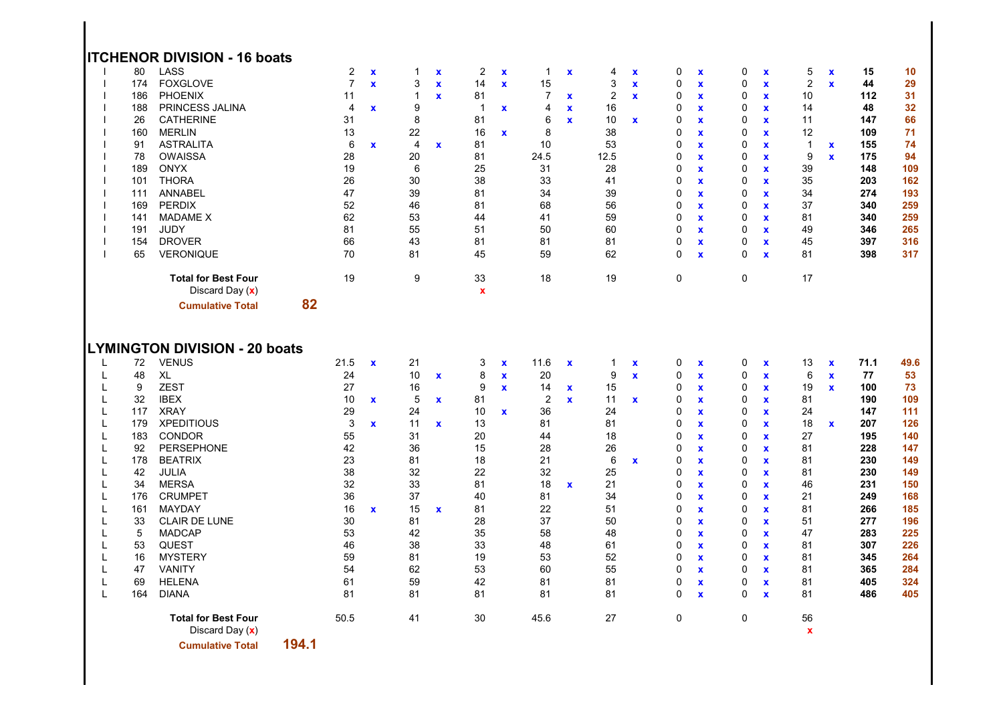|   |     | <b>ITCHENOR DIVISION - 16 boats</b>                  |       |                |              |              |                    |                |                           |                  |                    |                  |              |             |                    |   |              |                           |                           |      |      |
|---|-----|------------------------------------------------------|-------|----------------|--------------|--------------|--------------------|----------------|---------------------------|------------------|--------------------|------------------|--------------|-------------|--------------------|---|--------------|---------------------------|---------------------------|------|------|
|   | 80  | LASS                                                 |       | $\overline{2}$ | $\mathbf x$  | $\mathbf 1$  | $\pmb{\mathsf{x}}$ | $\overline{c}$ | $\mathbf x$               | $\mathbf{1}$     | $\pmb{\mathsf{x}}$ | 4                | $\pmb{\chi}$ | 0           | $\pmb{\chi}$       | 0 | $\pmb{\chi}$ | 5                         | $\boldsymbol{\mathsf{x}}$ | 15   | 10   |
|   | 174 | <b>FOXGLOVE</b>                                      |       | $\overline{7}$ | $\mathbf{x}$ | 3            | $\pmb{\mathsf{x}}$ | 14             | $\mathbf x$               | 15               |                    | 3                | $\mathbf x$  | 0           | $\mathbf x$        | 0 | $\mathbf x$  | $\overline{2}$            | $\mathbf x$               | 44   | 29   |
|   | 186 | <b>PHOENIX</b>                                       |       | 11             |              | $\mathbf{1}$ | $\mathbf{x}$       | 81             |                           | $\overline{7}$   | $\pmb{\mathsf{x}}$ | $\boldsymbol{2}$ | $\mathbf x$  | 0           | $\mathbf x$        | 0 | $\pmb{\chi}$ | 10                        |                           | 112  | 31   |
|   | 188 | PRINCESS JALINA                                      |       | 4              | $\mathbf x$  | 9            |                    | $\mathbf 1$    | $\mathbf x$               | 4                | $\mathbf{x}$       | 16               |              | 0           | $\mathbf x$        | 0 | $\mathbf x$  | 14                        |                           | 48   | 32   |
|   | 26  | <b>CATHERINE</b>                                     |       | 31             |              | 8            |                    | 81             |                           | $\,6$            | $\mathbf{x}$       | 10               | $\mathbf x$  | $\mathbf 0$ | $\mathbf x$        | 0 | $\mathbf x$  | 11                        |                           | 147  | 66   |
|   | 160 | <b>MERLIN</b>                                        |       | 13             |              | 22           |                    | 16             | $\mathbf x$               | 8                |                    | 38               |              | $\mathbf 0$ | $\mathbf{x}$       | 0 | $\mathbf x$  | 12                        |                           | 109  | 71   |
|   | 91  | <b>ASTRALITA</b>                                     |       | 6              | $\mathbf x$  | 4            | $\mathbf x$        | 81             |                           | 10               |                    | 53               |              | 0           | $\mathbf x$        | 0 | $\mathbf x$  | $\mathbf{1}$              | $\boldsymbol{\mathsf{x}}$ | 155  | 74   |
|   | 78  | <b>OWAISSA</b>                                       |       | 28             |              | 20           |                    | 81             |                           | 24.5             |                    | 12.5             |              | $\mathbf 0$ | $\mathbf x$        | 0 | $\mathbf x$  | 9                         | $\mathbf x$               | 175  | 94   |
|   | 189 | <b>ONYX</b>                                          |       | 19             |              | 6            |                    | 25             |                           | 31               |                    | 28               |              | $\mathbf 0$ | $\mathbf x$        | 0 | $\pmb{\chi}$ | 39                        |                           | 148  | 109  |
|   | 101 | <b>THORA</b>                                         |       | 26             |              | 30           |                    | 38             |                           | 33               |                    | 41               |              | 0           | $\mathbf{x}$       | 0 | $\mathbf x$  | 35                        |                           | 203  | 162  |
|   | 111 | <b>ANNABEL</b>                                       |       | 47             |              | 39           |                    | 81             |                           | 34               |                    | 39               |              | $\mathbf 0$ | $\mathbf{x}$       | 0 | $\mathbf x$  | 34                        |                           | 274  | 193  |
|   | 169 | <b>PERDIX</b>                                        |       | 52             |              | 46           |                    | 81             |                           | 68               |                    | 56               |              | $\mathbf 0$ |                    | 0 |              | 37                        |                           | 340  |      |
|   |     |                                                      |       |                |              |              |                    |                |                           |                  |                    |                  |              |             | x                  |   | $\mathbf x$  |                           |                           |      | 259  |
|   | 141 | <b>MADAME X</b>                                      |       | 62             |              | 53           |                    | 44             |                           | 41               |                    | 59               |              | 0           | $\mathbf x$        | 0 | $\mathbf x$  | 81                        |                           | 340  | 259  |
|   | 191 | <b>JUDY</b>                                          |       | 81             |              | 55           |                    | 51             |                           | 50               |                    | 60               |              | $\mathbf 0$ | $\mathbf{x}$       | 0 | $\mathbf x$  | 49                        |                           | 346  | 265  |
|   | 154 | <b>DROVER</b>                                        |       | 66             |              | 43           |                    | 81             |                           | 81               |                    | 81               |              | $\mathbf 0$ | $\mathbf x$        | 0 | $\pmb{\chi}$ | 45                        |                           | 397  | 316  |
|   | 65  | <b>VERONIQUE</b>                                     |       | 70             |              | 81           |                    | 45             |                           | 59               |                    | 62               |              | $\mathbf 0$ | $\mathbf{x}$       | 0 | $\mathbf x$  | 81                        |                           | 398  | 317  |
|   |     | <b>Total for Best Four</b>                           |       | 19             |              | 9            |                    | 33             |                           | 18               |                    | 19               |              | $\mathbf 0$ |                    | 0 |              | 17                        |                           |      |      |
|   |     | Discard Day (x)                                      |       |                |              |              |                    | $\mathbf x$    |                           |                  |                    |                  |              |             |                    |   |              |                           |                           |      |      |
|   |     | <b>Cumulative Total</b>                              | 82    |                |              |              |                    |                |                           |                  |                    |                  |              |             |                    |   |              |                           |                           |      |      |
| L | 72  | <b>LYMINGTON DIVISION - 20 boats</b><br><b>VENUS</b> |       | 21.5           | $\mathbf x$  | 21           |                    | 3              | $\boldsymbol{\mathsf{x}}$ | 11.6             | $\mathbf x$        | 1                | $\mathbf x$  | 0           | $\pmb{\chi}$       | 0 | $\mathbf x$  | 13                        | $\boldsymbol{\mathsf{x}}$ | 71.1 | 49.6 |
| L | 48  | XL                                                   |       | 24             |              | 10           | $\mathbf{x}$       | 8              | $\mathbf x$               | 20               |                    | 9                | $\mathbf{x}$ | $\mathbf 0$ | $\mathbf x$        | 0 | $\mathbf x$  | 6                         | $\mathbf x$               | 77   | 53   |
| L | 9   | <b>ZEST</b>                                          |       | 27             |              | 16           |                    | 9              | $\mathbf x$               | 14               | X                  | 15               |              | 0           | $\pmb{\mathsf{x}}$ | 0 | $\mathbf x$  | 19                        | $\mathbf x$               | 100  | 73   |
| L | 32  | <b>IBEX</b>                                          |       | 10             | $\mathbf{x}$ | $\mathbf 5$  | $\mathbf x$        | 81             |                           | $\boldsymbol{2}$ | $\mathbf{x}$       | 11               | $\mathbf x$  | $\mathbf 0$ | $\mathbf x$        | 0 | $\mathbf x$  | 81                        |                           | 190  | 109  |
| L | 117 | <b>XRAY</b>                                          |       | 29             |              | 24           |                    | 10             | $\mathbf x$               | 36               |                    | 24               |              | $\mathbf 0$ | $\mathbf x$        | 0 | $\mathbf x$  | 24                        |                           | 147  | 111  |
| L | 179 | <b>XPEDITIOUS</b>                                    |       | 3              | $\mathbf{x}$ | 11           | $\mathbf{x}$       | 13             |                           | 81               |                    | 81               |              | $\mathbf 0$ | $\mathbf{x}$       | 0 | $\mathbf x$  | 18                        | $\mathbf x$               | 207  | 126  |
| L | 183 | <b>CONDOR</b>                                        |       | 55             |              | 31           |                    | 20             |                           | 44               |                    | 18               |              | 0           | $\mathbf x$        | 0 | $\pmb{\chi}$ | 27                        |                           | 195  | 140  |
| L | 92  | <b>PERSEPHONE</b>                                    |       | 42             |              | 36           |                    | 15             |                           | 28               |                    | 26               |              | $\mathbf 0$ | $\mathbf x$        | 0 | $\mathbf x$  | 81                        |                           | 228  | 147  |
| L | 178 | <b>BEATRIX</b>                                       |       | 23             |              | 81           |                    | 18             |                           | 21               |                    | 6                | $\mathbf x$  | $\mathbf 0$ | $\mathbf x$        | 0 | $\mathbf x$  | 81                        |                           | 230  | 149  |
| L | 42  | JULIA                                                |       | 38             |              | 32           |                    | 22             |                           | 32               |                    | 25               |              | $\pmb{0}$   | $\mathbf x$        | 0 | $\pmb{\chi}$ | 81                        |                           | 230  | 149  |
| L | 34  | <b>MERSA</b>                                         |       | 32             |              | 33           |                    | 81             |                           | 18               | $\pmb{\mathsf{x}}$ | 21               |              | 0           | $\mathbf x$        | 0 | $\mathbf x$  | 46                        |                           | 231  | 150  |
| L | 176 | <b>CRUMPET</b>                                       |       | 36             |              | 37           |                    | 40             |                           | 81               |                    | 34               |              | $\mathbf 0$ | $\mathbf{x}$       | 0 | $\mathbf x$  | 21                        |                           | 249  | 168  |
| L | 161 | <b>MAYDAY</b>                                        |       | 16             | $\mathbf x$  | 15           | $\mathbf x$        | 81             |                           | 22               |                    | 51               |              | $\mathbf 0$ | $\mathbf x$        | 0 | $\mathbf x$  | 81                        |                           | 266  | 185  |
| L | 33  | <b>CLAIR DE LUNE</b>                                 |       | 30             |              | 81           |                    | 28             |                           | 37               |                    | 50               |              | $\mathbf 0$ | $\mathbf x$        | 0 | $\mathbf x$  | 51                        |                           | 277  | 196  |
| L | 5   | <b>MADCAP</b>                                        |       | 53             |              | 42           |                    | 35             |                           | 58               |                    | 48               |              | 0           | $\mathbf{x}$       | 0 | $\mathbf x$  | 47                        |                           | 283  | 225  |
| L | 53  | QUEST                                                |       | 46             |              | 38           |                    | 33             |                           | 48               |                    | 61               |              | $\pmb{0}$   | $\mathbf x$        | 0 | $\mathbf x$  | 81                        |                           | 307  | 226  |
| L | 16  | <b>MYSTERY</b>                                       |       | 59             |              | 81           |                    | 19             |                           | 53               |                    | 52               |              | 0           | $\mathbf{x}$       | 0 | $\mathbf x$  | 81                        |                           | 345  | 264  |
| L | 47  | <b>VANITY</b>                                        |       | 54             |              | 62           |                    | 53             |                           | 60               |                    | 55               |              | $\mathbf 0$ | $\mathbf{x}$       | 0 | $\mathbf x$  | 81                        |                           | 365  | 284  |
| L | 69  | <b>HELENA</b>                                        |       | 61             |              | 59           |                    | 42             |                           | 81               |                    | 81               |              | 0           | x                  | 0 | $\mathbf x$  | 81                        |                           | 405  | 324  |
| L | 164 | <b>DIANA</b>                                         |       | 81             |              | 81           |                    | 81             |                           | 81               |                    | 81               |              | 0           | $\mathbf x$        | 0 | $\mathbf x$  | 81                        |                           | 486  | 405  |
|   |     | <b>Total for Best Four</b>                           |       | 50.5           |              | 41           |                    | 30             |                           | 45.6             |                    | 27               |              | $\mathbf 0$ |                    | 0 |              | 56                        |                           |      |      |
|   |     | Discard Day $(x)$                                    |       |                |              |              |                    |                |                           |                  |                    |                  |              |             |                    |   |              | $\boldsymbol{\mathsf{x}}$ |                           |      |      |
|   |     | <b>Cumulative Total</b>                              | 194.1 |                |              |              |                    |                |                           |                  |                    |                  |              |             |                    |   |              |                           |                           |      |      |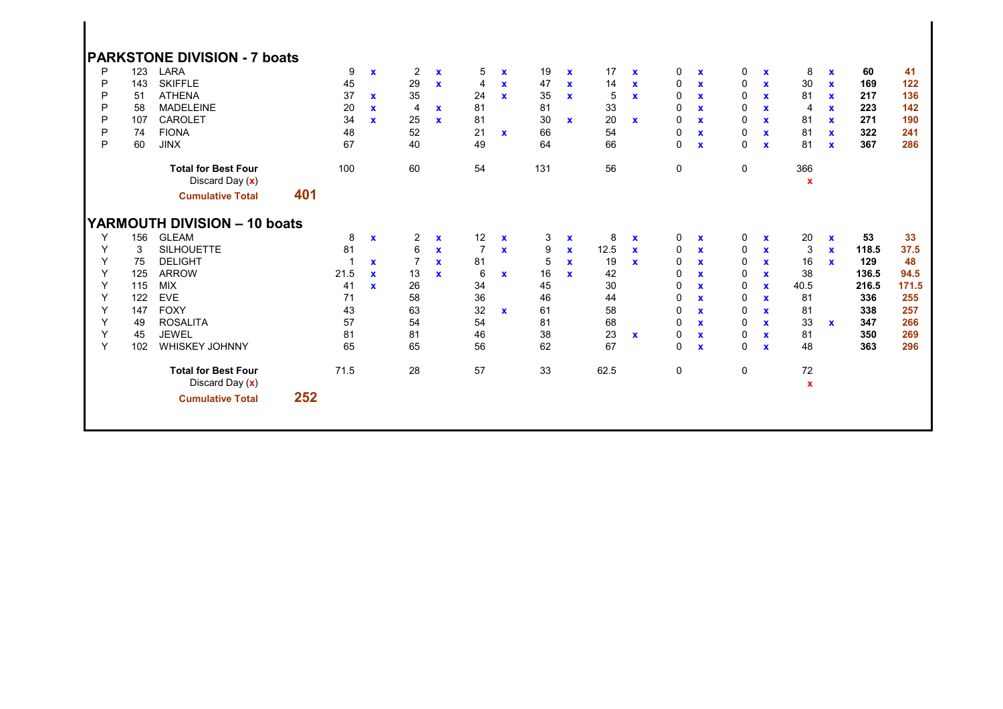|   |     | <b>PARKSTONE DIVISION - 7 boats</b>             |     |      |              |                |              |                |                           |     |              |      |              |              |             |   |              |                                  |              |       |       |
|---|-----|-------------------------------------------------|-----|------|--------------|----------------|--------------|----------------|---------------------------|-----|--------------|------|--------------|--------------|-------------|---|--------------|----------------------------------|--------------|-------|-------|
| P | 123 | <b>LARA</b>                                     |     | 9    | $\mathbf x$  | $\overline{c}$ | $\mathbf x$  | 5              | $\boldsymbol{\mathsf{x}}$ | 19  | $\mathbf x$  | 17   | $\mathbf{x}$ | $\mathbf 0$  | $\mathbf x$ | 0 | $\mathbf{x}$ | 8                                | $\mathbf x$  | 60    | 41    |
| P | 143 | <b>SKIFFLE</b>                                  |     | 45   |              | 29             | $\mathbf{x}$ | 4              | $\mathbf x$               | 47  | $\mathbf{x}$ | 14   | $\mathbf{x}$ | 0            | $\mathbf x$ | 0 | $\mathbf{x}$ | 30                               | $\mathbf{x}$ | 169   | 122   |
| P | 51  | <b>ATHENA</b>                                   |     | 37   | $\mathbf{x}$ | 35             |              | 24             | $\mathbf x$               | 35  | $\mathbf{x}$ | 5    | $\mathbf{x}$ | 0            | $\mathbf x$ | 0 | $\mathbf{x}$ | 81                               | $\mathbf{x}$ | 217   | 136   |
| P | 58  | <b>MADELEINE</b>                                |     | 20   | $\mathbf{x}$ | 4              | $\mathbf{x}$ | 81             |                           | 81  |              | 33   |              | $\Omega$     | $\mathbf x$ | 0 | $\mathbf x$  | 4                                | $\mathbf{x}$ | 223   | 142   |
| P | 107 | <b>CAROLET</b>                                  |     | 34   | $\mathbf{x}$ | 25             | $\mathbf{x}$ | 81             |                           | 30  | $\mathbf{x}$ | 20   | $\mathbf{x}$ | 0            | $\mathbf x$ | 0 | $\mathbf{x}$ | 81                               | $\mathbf{x}$ | 271   | 190   |
| P | 74  | <b>FIONA</b>                                    |     | 48   |              | 52             |              | 21             | $\mathbf{x}$              | 66  |              | 54   |              | $\mathbf{0}$ | $\mathbf x$ | 0 | $\mathbf{x}$ | 81                               | $\mathbf{x}$ | 322   | 241   |
| P | 60  | <b>JINX</b>                                     |     | 67   |              | 40             |              | 49             |                           | 64  |              | 66   |              | $\Omega$     | $\mathbf x$ | 0 | $\mathbf x$  | 81                               | $\mathbf{x}$ | 367   | 286   |
|   |     | <b>Total for Best Four</b><br>Discard Day $(x)$ |     | 100  |              | 60             |              | 54             |                           | 131 |              | 56   |              | 0            |             | 0 |              | 366<br>$\boldsymbol{\mathsf{x}}$ |              |       |       |
|   |     | <b>Cumulative Total</b>                         | 401 |      |              |                |              |                |                           |     |              |      |              |              |             |   |              |                                  |              |       |       |
|   |     | YARMOUTH DIVISION - 10 boats                    |     |      |              |                |              |                |                           |     |              |      |              |              |             |   |              |                                  |              |       |       |
| Υ | 156 | <b>GLEAM</b>                                    |     | 8    | $\mathbf{x}$ | 2              | $\mathbf x$  | 12             | $\mathbf x$               | 3   | $\mathbf x$  | 8    | $\mathbf{x}$ | $\mathbf 0$  | $\mathbf x$ | 0 | $\mathbf x$  | 20                               | $\mathbf x$  | 53    | 33    |
| Y | 3   | <b>SILHOUETTE</b>                               |     | 81   |              | 6              | $\mathbf{x}$ | $\overline{7}$ | $\mathbf x$               | 9   | $\mathbf{x}$ | 12.5 | $\mathbf{x}$ | 0            | $\mathbf x$ | 0 | $\mathbf{x}$ | 3                                | $\mathbf{x}$ | 118.5 | 37.5  |
| Υ | 75  | <b>DELIGHT</b>                                  |     |      | $\mathbf{x}$ | $\overline{7}$ | $\mathbf{x}$ | 81             |                           | 5   | $\mathbf{x}$ | 19   | $\mathbf{x}$ | 0            | $\mathbf x$ | 0 | $\mathbf x$  | 16                               | $\mathbf{x}$ | 129   | 48    |
| Y | 125 | <b>ARROW</b>                                    |     | 21.5 | $\mathbf{x}$ | 13             | $\mathbf{x}$ | 6              | $\mathbf{x}$              | 16  | $\mathbf{x}$ | 42   |              | $\Omega$     | $\mathbf x$ | 0 | $\mathbf x$  | 38                               |              | 136.5 | 94.5  |
| Y | 115 | <b>MIX</b>                                      |     | 41   | $\mathbf{x}$ | 26             |              | 34             |                           | 45  |              | 30   |              | $\Omega$     | $\mathbf x$ | 0 | $\mathbf x$  | 40.5                             |              | 216.5 | 171.5 |
| Y | 122 | <b>EVE</b>                                      |     | 71   |              | 58             |              | 36             |                           | 46  |              | 44   |              | 0            | $\mathbf x$ | 0 | $\mathbf x$  | 81                               |              | 336   | 255   |
| Y | 147 | <b>FOXY</b>                                     |     | 43   |              | 63             |              | 32             | $\mathbf{x}$              | 61  |              | 58   |              | $\Omega$     | $\mathbf x$ | 0 | $\mathbf x$  | 81                               |              | 338   | 257   |
| Y | 49  | <b>ROSALITA</b>                                 |     | 57   |              | 54             |              | 54             |                           | 81  |              | 68   |              | $\mathbf{0}$ | $\mathbf x$ | 0 | $\mathbf{x}$ | 33                               | $\mathbf{x}$ | 347   | 266   |
| Y | 45  | <b>JEWEL</b>                                    |     | 81   |              | 81             |              | 46             |                           | 38  |              | 23   | $\mathbf{x}$ | 0            | $\mathbf x$ | 0 | $\mathbf{x}$ | 81                               |              | 350   | 269   |
| Y | 102 | <b>WHISKEY JOHNNY</b>                           |     | 65   |              | 65             |              | 56             |                           | 62  |              | 67   |              | $\Omega$     | $\mathbf x$ | 0 | $\mathbf{x}$ | 48                               |              | 363   | 296   |
|   |     | <b>Total for Best Four</b><br>Discard Day (x)   |     | 71.5 |              | 28             |              | 57             |                           | 33  |              | 62.5 |              | 0            |             | 0 |              | 72<br>$\mathbf x$                |              |       |       |
|   |     | <b>Cumulative Total</b>                         | 252 |      |              |                |              |                |                           |     |              |      |              |              |             |   |              |                                  |              |       |       |
|   |     |                                                 |     |      |              |                |              |                |                           |     |              |      |              |              |             |   |              |                                  |              |       |       |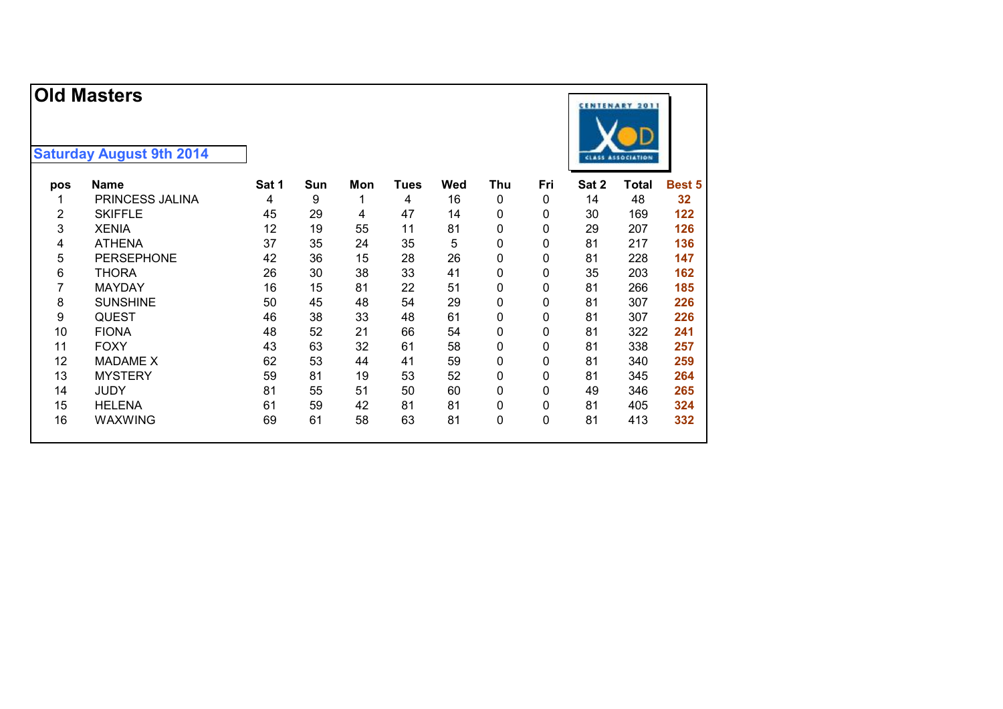|     | <b>Old Masters</b><br><b>Saturday August 9th 2014</b> |       |     |     |             |     |     |     |       | <b>CENTENARY 2011</b><br><b>CLASS ASSOCIATION</b> |        |
|-----|-------------------------------------------------------|-------|-----|-----|-------------|-----|-----|-----|-------|---------------------------------------------------|--------|
| pos | <b>Name</b>                                           | Sat 1 | Sun | Mon | <b>Tues</b> | Wed | Thu | Fri | Sat 2 | <b>Total</b>                                      | Best 5 |
| 1   | PRINCESS JALINA                                       | 4     | 9   | 1   | 4           | 16  | 0   | 0   | 14    | 48                                                | 32     |
| 2   | <b>SKIFFLE</b>                                        | 45    | 29  | 4   | 47          | 14  | 0   | 0   | 30    | 169                                               | 122    |
| 3   | <b>XENIA</b>                                          | 12    | 19  | 55  | 11          | 81  | 0   | 0   | 29    | 207                                               | 126    |
| 4   | <b>ATHENA</b>                                         | 37    | 35  | 24  | 35          | 5   | 0   | 0   | 81    | 217                                               | 136    |
| 5   | <b>PERSEPHONE</b>                                     | 42    | 36  | 15  | 28          | 26  | 0   | 0   | 81    | 228                                               | 147    |
| 6   | <b>THORA</b>                                          | 26    | 30  | 38  | 33          | 41  | 0   | 0   | 35    | 203                                               | 162    |
| 7   | <b>MAYDAY</b>                                         | 16    | 15  | 81  | 22          | 51  | 0   | 0   | 81    | 266                                               | 185    |
| 8   | <b>SUNSHINE</b>                                       | 50    | 45  | 48  | 54          | 29  | 0   | 0   | 81    | 307                                               | 226    |
| 9   | <b>QUEST</b>                                          | 46    | 38  | 33  | 48          | 61  | 0   | 0   | 81    | 307                                               | 226    |
| 10  | <b>FIONA</b>                                          | 48    | 52  | 21  | 66          | 54  | 0   | 0   | 81    | 322                                               | 241    |
| 11  | <b>FOXY</b>                                           | 43    | 63  | 32  | 61          | 58  | 0   | 0   | 81    | 338                                               | 257    |
| 12  | <b>MADAME X</b>                                       | 62    | 53  | 44  | 41          | 59  | 0   | 0   | 81    | 340                                               | 259    |
| 13  | <b>MYSTERY</b>                                        | 59    | 81  | 19  | 53          | 52  | 0   | 0   | 81    | 345                                               | 264    |
| 14  | <b>JUDY</b>                                           | 81    | 55  | 51  | 50          | 60  | 0   | 0   | 49    | 346                                               | 265    |
| 15  | <b>HELENA</b>                                         | 61    | 59  | 42  | 81          | 81  | 0   | 0   | 81    | 405                                               | 324    |
| 16  | WAXWING                                               | 69    | 61  | 58  | 63          | 81  | 0   | 0   | 81    | 413                                               | 332    |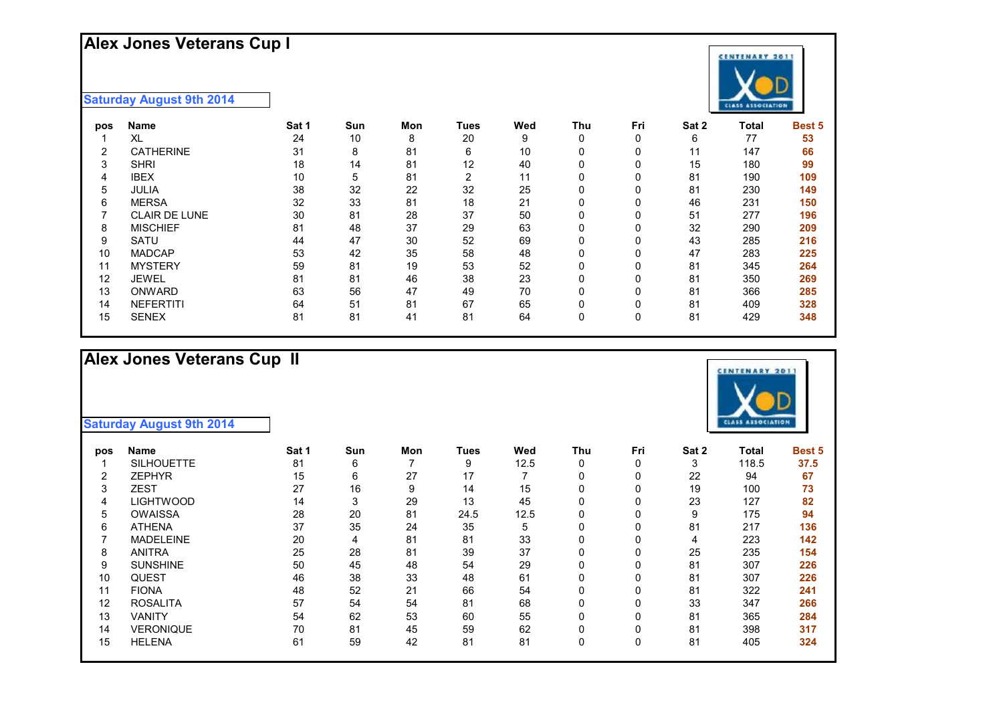## **Alex Jones Veterans Cup I**

#### **Saturday August 9th 2014**

| pos | Name                 | Sat 1 | Sun | Mon | Tues | Wed | Thu      | Fri | Sat 2 | <b>Total</b> | <b>Best 5</b> |
|-----|----------------------|-------|-----|-----|------|-----|----------|-----|-------|--------------|---------------|
|     | <b>XL</b>            | 24    | 10  | 8   | 20   | 9   | 0        | 0   | 6     | 77           | 53            |
| 2   | <b>CATHERINE</b>     | 31    | 8   | 81  | 6    | 10  | 0        | 0   | 11    | 147          | 66            |
| 3   | <b>SHRI</b>          | 18    | 14  | 81  | 12   | 40  |          |     | 15    | 180          | 99            |
| 4   | <b>IBEX</b>          | 10    | 5   | 81  | 2    | 11  |          |     | 81    | 190          | 109           |
| 5   | <b>JULIA</b>         | 38    | 32  | 22  | 32   | 25  |          |     | 81    | 230          | 149           |
| 6   | <b>MERSA</b>         | 32    | 33  | 81  | 18   | 21  |          |     | 46    | 231          | 150           |
|     | <b>CLAIR DE LUNE</b> | 30    | 81  | 28  | 37   | 50  | 0        | 0   | 51    | 277          | 196           |
| 8   | <b>MISCHIEF</b>      | 81    | 48  | 37  | 29   | 63  |          |     | 32    | 290          | 209           |
| 9   | <b>SATU</b>          | 44    | 47  | 30  | 52   | 69  |          |     | 43    | 285          | 216           |
| 10  | <b>MADCAP</b>        | 53    | 42  | 35  | 58   | 48  |          | 0   | 47    | 283          | 225           |
| 11  | <b>MYSTERY</b>       | 59    | 81  | 19  | 53   | 52  |          |     | 81    | 345          | 264           |
| 12  | <b>JEWEL</b>         | 81    | 81  | 46  | 38   | 23  |          |     | 81    | 350          | 269           |
| 13  | ONWARD               | 63    | 56  | 47  | 49   | 70  |          | 0   | 81    | 366          | 285           |
| 14  | <b>NEFERTITI</b>     | 64    | 51  | 81  | 67   | 65  |          | O   | 81    | 409          | 328           |
| 15  | <b>SENEX</b>         | 81    | 81  | 41  | 81   | 64  | $\Omega$ | 0   | 81    | 429          | 348           |

## **Alex Jones Veterans Cup II**

| pos | <b>Name</b>       | Sat 1 | Sun | Mon | Tues | Wed  | Thu | Fri | Sat 2 | Total | <b>Best 5</b> |
|-----|-------------------|-------|-----|-----|------|------|-----|-----|-------|-------|---------------|
|     | <b>SILHOUETTE</b> | 81    | 6   |     | 9    | 12.5 | 0   | 0   | 3     | 118.5 | 37.5          |
| 2   | <b>ZEPHYR</b>     | 15    | 6   | 27  | 17   |      | 0   |     | 22    | 94    | 67            |
| 3   | <b>ZEST</b>       | 27    | 16  | 9   | 14   | 15   | 0   |     | 19    | 100   | 73            |
| 4   | <b>LIGHTWOOD</b>  | 14    | 3   | 29  | 13   | 45   | 0   |     | 23    | 127   | 82            |
| 5   | <b>OWAISSA</b>    | 28    | 20  | 81  | 24.5 | 12.5 | 0   |     | 9     | 175   | 94            |
| 6   | <b>ATHENA</b>     | 37    | 35  | 24  | 35   | 5    | 0   | 0   | 81    | 217   | 136           |
|     | <b>MADELEINE</b>  | 20    | 4   | 81  | 81   | 33   | 0   |     | 4     | 223   | 142           |
| 8   | <b>ANITRA</b>     | 25    | 28  | 81  | 39   | 37   | 0   |     | 25    | 235   | 154           |
| 9   | <b>SUNSHINE</b>   | 50    | 45  | 48  | 54   | 29   | 0   |     | 81    | 307   | 226           |
| 10  | <b>QUEST</b>      | 46    | 38  | 33  | 48   | 61   | 0   |     | 81    | 307   | 226           |
| 11  | <b>FIONA</b>      | 48    | 52  | 21  | 66   | 54   | 0   |     | 81    | 322   | 241           |
| 12  | <b>ROSALITA</b>   | 57    | 54  | 54  | 81   | 68   | 0   |     | 33    | 347   | 266           |
| 13  | <b>VANITY</b>     | 54    | 62  | 53  | 60   | 55   | 0   |     | 81    | 365   | 284           |
| 14  | <b>VERONIQUE</b>  | 70    | 81  | 45  | 59   | 62   | 0   |     | 81    | 398   | 317           |
| 15  | <b>HELENA</b>     | 61    | 59  | 42  | 81   | 81   | 0   | 0   | 81    | 405   | 324           |



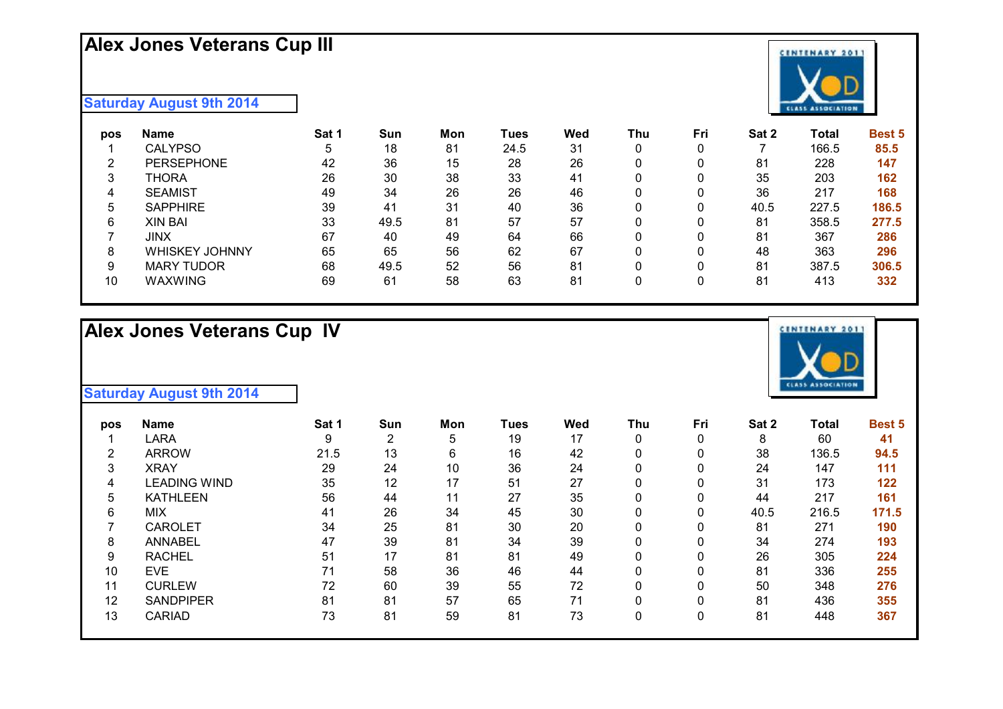## **Alex Jones Veterans Cup III**

### **Saturday August 9th 2014**

| pos | <b>Name</b>           | Sat 1 | Sun  | Mon | Tues | Wed | Thu | Fri | Sat 2 | Total | <b>Best 5</b> |
|-----|-----------------------|-------|------|-----|------|-----|-----|-----|-------|-------|---------------|
|     | <b>CALYPSO</b>        | 5     | 18   | 81  | 24.5 | 31  |     | 0   |       | 166.5 | 85.5          |
|     | <b>PERSEPHONE</b>     | 42    | 36   | 15  | 28   | 26  |     | 0   | 81    | 228   | 147           |
|     | <b>THORA</b>          | 26    | 30   | 38  | 33   | 41  |     |     | 35    | 203   | 162           |
| 4   | <b>SEAMIST</b>        | 49    | 34   | 26  | 26   | 46  |     |     | 36    | 217   | 168           |
| 5   | <b>SAPPHIRE</b>       | 39    | 41   | 31  | 40   | 36  |     |     | 40.5  | 227.5 | 186.5         |
| 6   | <b>XIN BAI</b>        | 33    | 49.5 | 81  | 57   | 57  |     | 0   | 81    | 358.5 | 277.5         |
|     | JINX                  | 67    | 40   | 49  | 64   | 66  |     | 0   | 81    | 367   | 286           |
| 8   | <b>WHISKEY JOHNNY</b> | 65    | 65   | 56  | 62   | 67  |     |     | 48    | 363   | 296           |
| 9   | <b>MARY TUDOR</b>     | 68    | 49.5 | 52  | 56   | 81  |     | 0   | 81    | 387.5 | 306.5         |
| 10  | <b>WAXWING</b>        | 69    | -61  | 58  | 63   | 81  |     |     | 81    | 413   | 332           |

## **Alex Jones Veterans Cup IV**

| pos | <b>Name</b>         | Sat 1 | Sun | Mon | <b>Tues</b> | Wed | Thu      | Fri | Sat 2 | Total | Best 5 |
|-----|---------------------|-------|-----|-----|-------------|-----|----------|-----|-------|-------|--------|
|     | LARA                | 9     | 2   | 5   | 19          | 17  | 0        |     | 8     | 60    | 41     |
| 2   | <b>ARROW</b>        | 21.5  | 13  | 6   | 16          | 42  | 0        |     | 38    | 136.5 | 94.5   |
| 3   | <b>XRAY</b>         | 29    | 24  | 10  | 36          | 24  | 0        |     | 24    | 147   | 111    |
| 4   | <b>LEADING WIND</b> | 35    | 12  | 17  | 51          | 27  | 0        |     | 31    | 173   | 122    |
| 5   | <b>KATHLEEN</b>     | 56    | 44  | 11  | 27          | 35  | 0        |     | 44    | 217   | 161    |
| 6   | <b>MIX</b>          | 41    | 26  | 34  | 45          | 30  | $\Omega$ |     | 40.5  | 216.5 | 171.5  |
|     | <b>CAROLET</b>      | 34    | 25  | 81  | 30          | 20  | 0        |     | 81    | 271   | 190    |
| 8   | <b>ANNABEL</b>      | 47    | 39  | 81  | 34          | 39  | 0        |     | 34    | 274   | 193    |
| 9   | <b>RACHEL</b>       | 51    | 17  | 81  | 81          | 49  | 0        |     | 26    | 305   | 224    |
| 10  | <b>EVE</b>          | 71    | 58  | 36  | 46          | 44  | 0        |     | 81    | 336   | 255    |
| 11  | <b>CURLEW</b>       | 72    | 60  | 39  | 55          | 72  | 0        |     | 50    | 348   | 276    |
| 12  | <b>SANDPIPER</b>    | 81    | 81  | 57  | 65          | 71  | $\Omega$ |     | 81    | 436   | 355    |
| 13  | <b>CARIAD</b>       | 73    | 81  | 59  | 81          | 73  | 0        |     | 81    | 448   | 367    |
|     |                     |       |     |     |             |     |          |     |       |       |        |



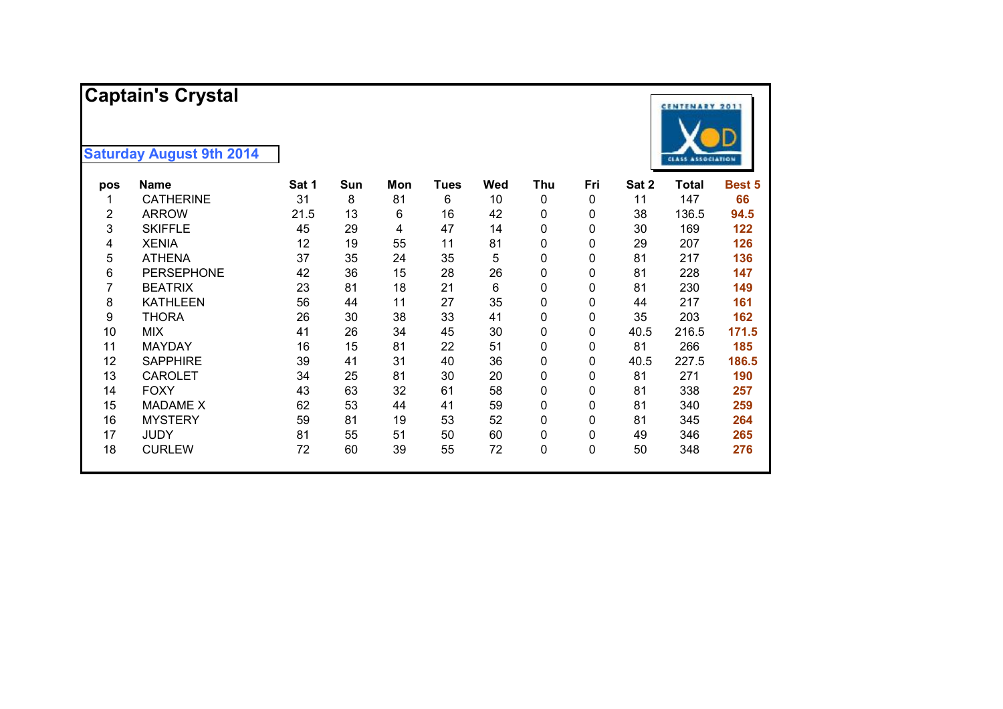|                | <b>Captain's Crystal</b>        |       |     |     |             |     |     |     |       | <b>CENTENARY 2011</b>    |               |
|----------------|---------------------------------|-------|-----|-----|-------------|-----|-----|-----|-------|--------------------------|---------------|
|                | <b>Saturday August 9th 2014</b> |       |     |     |             |     |     |     |       | <b>CLASS ASSOCIATION</b> |               |
| pos            | <b>Name</b>                     | Sat 1 | Sun | Mon | <b>Tues</b> | Wed | Thu | Fri | Sat 2 | Total                    | <b>Best 5</b> |
|                | <b>CATHERINE</b>                | 31    | 8   | 81  | 6           | 10  | 0   | 0   | 11    | 147                      | 66            |
| $\overline{2}$ | <b>ARROW</b>                    | 21.5  | 13  | 6   | 16          | 42  | 0   | 0   | 38    | 136.5                    | 94.5          |
| 3              | <b>SKIFFLE</b>                  | 45    | 29  | 4   | 47          | 14  | 0   | 0   | 30    | 169                      | 122           |
| 4              | <b>XENIA</b>                    | 12    | 19  | 55  | 11          | 81  | 0   | 0   | 29    | 207                      | 126           |
| 5              | <b>ATHENA</b>                   | 37    | 35  | 24  | 35          | 5   | 0   | 0   | 81    | 217                      | 136           |
| 6              | <b>PERSEPHONE</b>               | 42    | 36  | 15  | 28          | 26  | 0   | 0   | 81    | 228                      | 147           |
| 7              | <b>BEATRIX</b>                  | 23    | 81  | 18  | 21          | 6   | 0   | 0   | 81    | 230                      | 149           |
| 8              | <b>KATHLEEN</b>                 | 56    | 44  | 11  | 27          | 35  | 0   | 0   | 44    | 217                      | 161           |
| 9              | <b>THORA</b>                    | 26    | 30  | 38  | 33          | 41  | 0   | 0   | 35    | 203                      | 162           |
| 10             | <b>MIX</b>                      | 41    | 26  | 34  | 45          | 30  | 0   | 0   | 40.5  | 216.5                    | 171.5         |
| 11             | <b>MAYDAY</b>                   | 16    | 15  | 81  | 22          | 51  | 0   | 0   | 81    | 266                      | 185           |
| 12             | <b>SAPPHIRE</b>                 | 39    | 41  | 31  | 40          | 36  | 0   | 0   | 40.5  | 227.5                    | 186.5         |
| 13             | <b>CAROLET</b>                  | 34    | 25  | 81  | 30          | 20  | 0   | 0   | 81    | 271                      | 190           |
| 14             | <b>FOXY</b>                     | 43    | 63  | 32  | 61          | 58  | 0   | 0   | 81    | 338                      | 257           |
| 15             | <b>MADAME X</b>                 | 62    | 53  | 44  | 41          | 59  | 0   | 0   | 81    | 340                      | 259           |
| 16             | <b>MYSTERY</b>                  | 59    | 81  | 19  | 53          | 52  | 0   | 0   | 81    | 345                      | 264           |
| 17             | <b>JUDY</b>                     | 81    | 55  | 51  | 50          | 60  | 0   | 0   | 49    | 346                      | 265           |
| 18             | <b>CURLEW</b>                   | 72    | 60  | 39  | 55          | 72  | 0   | 0   | 50    | 348                      | 276           |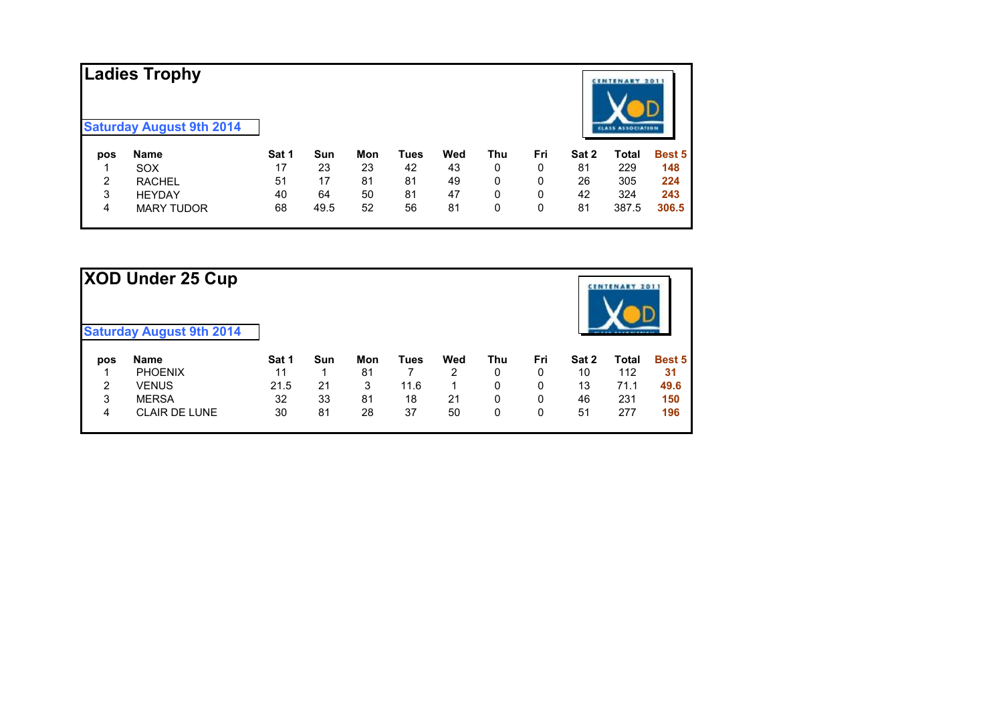|                | Ladies Trophy<br><b>Saturday August 9th 2014</b> |       |      |     |      |     |     |     |       | <b>CENTENARY 2011</b> |               |
|----------------|--------------------------------------------------|-------|------|-----|------|-----|-----|-----|-------|-----------------------|---------------|
| pos            | <b>Name</b>                                      | Sat 1 | Sun  | Mon | Tues | Wed | Thu | Fri | Sat 2 | <b>Total</b>          | <b>Best 5</b> |
|                | <b>SOX</b>                                       | 17    | 23   | 23  | 42   | 43  | 0   | 0   | 81    | 229                   | 148           |
| $\overline{2}$ | <b>RACHEL</b>                                    | 51    | 17   | 81  | 81   | 49  | 0   | 0   | 26    | 305                   | 224           |
| 3              | <b>HEYDAY</b>                                    | 40    | 64   | 50  | 81   | 47  | 0   | 0   | 42    | 324                   | 243           |
| 4              | <b>MARY TUDOR</b>                                | 68    | 49.5 | 52  | 56   | 81  | 0   | 0   | 81    | 387.5                 | 306.5         |

|                | XOD Under 25 Cup                |       |     |     |      |     |     |     |       | <b>CENTENARY 2011</b>                |               |
|----------------|---------------------------------|-------|-----|-----|------|-----|-----|-----|-------|--------------------------------------|---------------|
|                | <b>Saturday August 9th 2014</b> |       |     |     |      |     |     |     |       | <b><i>A district designation</i></b> |               |
| pos            | <b>Name</b>                     | Sat 1 | Sun | Mon | Tues | Wed | Thu | Fri | Sat 2 | Total                                | <b>Best 5</b> |
|                | <b>PHOENIX</b>                  | 11    |     | 81  |      | 2   | 0   | 0   | 10    | 112                                  | 31            |
| $\overline{2}$ | <b>VENUS</b>                    | 21.5  | 21  | 3   | 11.6 |     | 0   | 0   | 13    | 71.1                                 | 49.6          |
| 3              | <b>MERSA</b>                    | 32    | 33  | 81  | 18   | 21  | 0   | 0   | 46    | 231                                  | 150           |
| 4              | <b>CLAIR DE LUNE</b>            | 30    | 81  | 28  | 37   | 50  | 0   | 0   | 51    | 277                                  | 196           |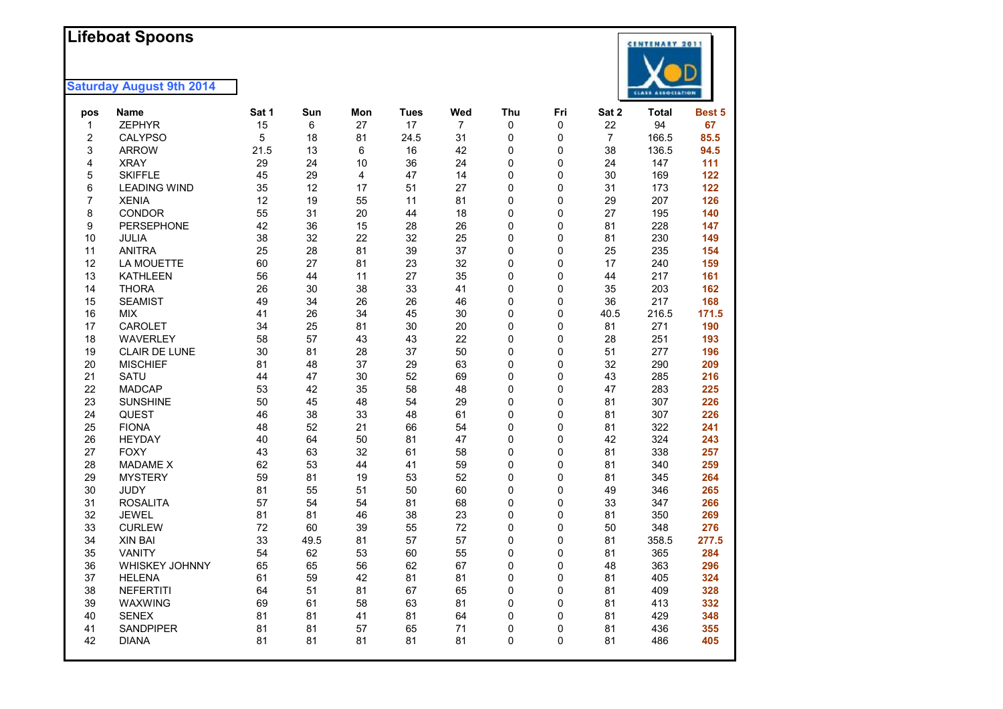#### **L i f ebo a t Spoons**



| pos            | <b>Name</b>           | Sat 1 | Sun  | Mon            | <b>Tues</b> | Wed | Thu         | Fri         | Sat 2          | <b>Total</b> | Best 5 |
|----------------|-----------------------|-------|------|----------------|-------------|-----|-------------|-------------|----------------|--------------|--------|
| $\mathbf{1}$   | <b>ZEPHYR</b>         | 15    | 6    | 27             | 17          | 7   | 0           | 0           | 22             | 94           | 67     |
| $\overline{2}$ | <b>CALYPSO</b>        | 5     | 18   | 81             | 24.5        | 31  | 0           | 0           | $\overline{7}$ | 166.5        | 85.5   |
| 3              | <b>ARROW</b>          | 21.5  | 13   | 6              | 16          | 42  | 0           | 0           | 38             | 136.5        | 94.5   |
| 4              | <b>XRAY</b>           | 29    | 24   | 10             | 36          | 24  | $\Omega$    | $\Omega$    | 24             | 147          | 111    |
| 5              | <b>SKIFFLE</b>        | 45    | 29   | $\overline{4}$ | 47          | 14  | $\mathbf 0$ | 0           | 30             | 169          | 122    |
| 6              | <b>LEADING WIND</b>   | 35    | 12   | 17             | 51          | 27  | $\mathbf 0$ | $\Omega$    | 31             | 173          | 122    |
| 7              | <b>XENIA</b>          | 12    | 19   | 55             | 11          | 81  | 0           | $\Omega$    | 29             | 207          | 126    |
| 8              | <b>CONDOR</b>         | 55    | 31   | 20             | 44          | 18  | 0           | 0           | 27             | 195          | 140    |
| 9              | <b>PERSEPHONE</b>     | 42    | 36   | 15             | 28          | 26  | $\mathbf 0$ | 0           | 81             | 228          | 147    |
| 10             | JULIA                 | 38    | 32   | 22             | 32          | 25  | $\pmb{0}$   | 0           | 81             | 230          | 149    |
| 11             | <b>ANITRA</b>         | 25    | 28   | 81             | 39          | 37  | $\Omega$    | $\mathbf 0$ | 25             | 235          | 154    |
| 12             | LA MOUETTE            | 60    | 27   | 81             | 23          | 32  | $\mathbf 0$ | 0           | 17             | 240          | 159    |
| 13             | <b>KATHLEEN</b>       | 56    | 44   | 11             | 27          | 35  | $\pmb{0}$   | 0           | 44             | 217          | 161    |
| 14             | <b>THORA</b>          | 26    | 30   | 38             | 33          | 41  | $\mathbf 0$ | 0           | 35             | 203          | 162    |
| 15             | <b>SEAMIST</b>        | 49    | 34   | 26             | 26          | 46  | 0           | 0           | 36             | 217          | 168    |
| 16             | <b>MIX</b>            | 41    | 26   | 34             | 45          | 30  | $\pmb{0}$   | 0           | 40.5           | 216.5        | 171.5  |
| 17             | CAROLET               | 34    | 25   | 81             | 30          | 20  | 0           | 0           | 81             | 271          | 190    |
| 18             | <b>WAVERLEY</b>       | 58    | 57   | 43             | 43          | 22  | $\mathbf 0$ | 0           | 28             | 251          | 193    |
| 19             | <b>CLAIR DE LUNE</b>  | 30    | 81   | 28             | 37          | 50  | 0           | 0           | 51             | 277          | 196    |
| 20             | <b>MISCHIEF</b>       | 81    | 48   | 37             | 29          | 63  | 0           | 0           | 32             | 290          | 209    |
| 21             | <b>SATU</b>           | 44    | 47   | 30             | 52          | 69  | $\Omega$    | $\Omega$    | 43             | 285          | 216    |
| 22             | <b>MADCAP</b>         | 53    | 42   | 35             | 58          | 48  | $\mathbf 0$ | 0           | 47             | 283          | 225    |
| 23             | <b>SUNSHINE</b>       | 50    | 45   | 48             | 54          | 29  | $\mathbf 0$ | 0           | 81             | 307          | 226    |
| 24             | QUEST                 | 46    | 38   | 33             | 48          | 61  | $\mathbf 0$ | 0           | 81             | 307          | 226    |
| 25             | <b>FIONA</b>          | 48    | 52   | 21             | 66          | 54  | $\mathbf 0$ | 0           | 81             | 322          | 241    |
| 26             | <b>HEYDAY</b>         | 40    | 64   | 50             | 81          | 47  | $\mathbf 0$ | 0           | 42             | 324          | 243    |
| 27             | <b>FOXY</b>           | 43    | 63   | 32             | 61          | 58  | $\mathbf 0$ | 0           | 81             | 338          | 257    |
| 28             | <b>MADAME X</b>       | 62    | 53   | 44             | 41          | 59  | $\mathbf 0$ | 0           | 81             | 340          | 259    |
| 29             | <b>MYSTERY</b>        | 59    | 81   | 19             | 53          | 52  | $\pmb{0}$   | 0           | 81             | 345          | 264    |
| 30             | JUDY                  | 81    | 55   | 51             | 50          | 60  | 0           | 0           | 49             | 346          | 265    |
| 31             | <b>ROSALITA</b>       | 57    | 54   | 54             | 81          | 68  | $\mathbf 0$ | 0           | 33             | 347          | 266    |
| 32             | <b>JEWEL</b>          | 81    | 81   | 46             | 38          | 23  | 0           | 0           | 81             | 350          | 269    |
| 33             | <b>CURLEW</b>         | 72    | 60   | 39             | 55          | 72  | $\mathbf 0$ | $\Omega$    | 50             | 348          | 276    |
| 34             | <b>XIN BAI</b>        | 33    | 49.5 | 81             | 57          | 57  | 0           | $\Omega$    | 81             | 358.5        | 277.5  |
| 35             | <b>VANITY</b>         | 54    | 62   | 53             | 60          | 55  | 0           | 0           | 81             | 365          | 284    |
| 36             | <b>WHISKEY JOHNNY</b> | 65    | 65   | 56             | 62          | 67  | $\mathbf 0$ | 0           | 48             | 363          | 296    |
| 37             | <b>HELENA</b>         | 61    | 59   | 42             | 81          | 81  | $\mathbf 0$ | $\Omega$    | 81             | 405          | 324    |
| 38             | <b>NEFERTITI</b>      | 64    | 51   | 81             | 67          | 65  | $\Omega$    | $\mathbf 0$ | 81             | 409          | 328    |
| 39             | WAXWING               | 69    | 61   | 58             | 63          | 81  | $\mathbf 0$ | 0           | 81             | 413          | 332    |
| 40             | <b>SENEX</b>          | 81    | 81   | 41             | 81          | 64  | $\mathbf 0$ | 0           | 81             | 429          | 348    |
| 41             | <b>SANDPIPER</b>      | 81    | 81   | 57             | 65          | 71  | 0           | 0           | 81             | 436          | 355    |
| 42             | <b>DIANA</b>          | 81    | 81   | 81             | 81          | 81  | $\Omega$    | $\Omega$    | 81             | 486          | 405    |
|                |                       |       |      |                |             |     |             |             |                |              |        |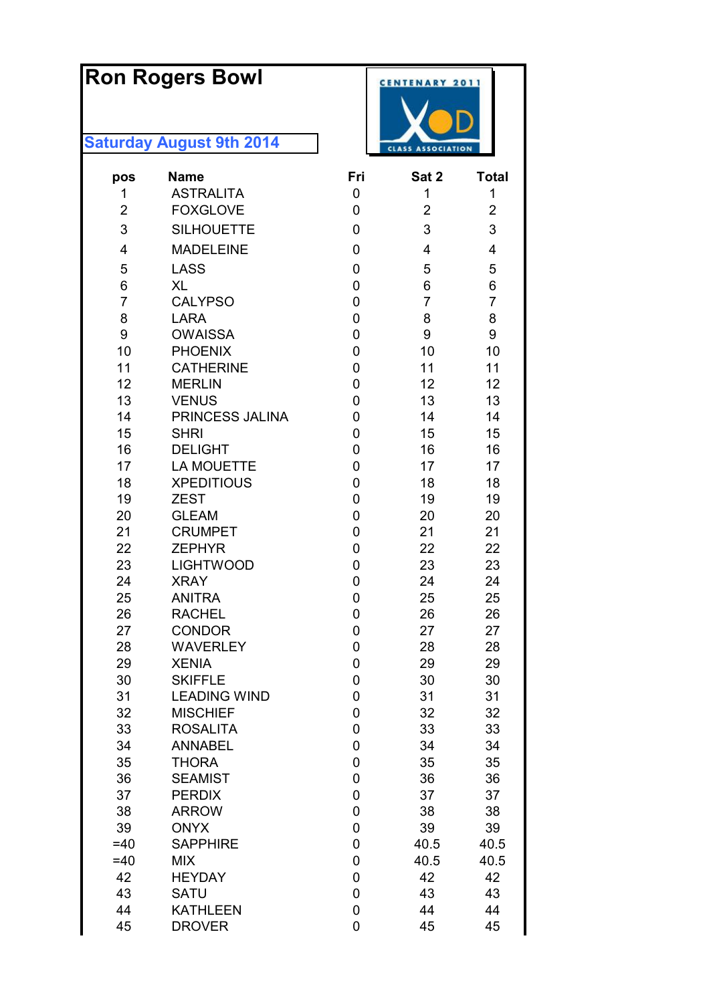# **Ron Rogers Bowl**



| pos            | <b>Name</b>                       | Fri              | Sat 2          | <b>Total</b>   |
|----------------|-----------------------------------|------------------|----------------|----------------|
| 1              | <b>ASTRALITA</b>                  | 0                | 1              | 1              |
| $\overline{2}$ | <b>FOXGLOVE</b>                   | 0                | $\overline{2}$ | $\overline{2}$ |
| 3              | <b>SILHOUETTE</b>                 | 0                | 3              | 3              |
| 4              | <b>MADELEINE</b>                  | 0                | 4              | 4              |
| 5              | <b>LASS</b>                       | 0                | 5              | 5              |
| 6              | XL                                | 0                | 6              | 6              |
| $\overline{7}$ | <b>CALYPSO</b>                    | 0                | 7              | $\overline{7}$ |
| 8              | <b>LARA</b>                       | 0                | 8              | 8              |
| 9              | <b>OWAISSA</b>                    | $\overline{0}$   | 9              | 9              |
| 10             | <b>PHOENIX</b>                    | 0                | 10             | 10             |
| 11             | <b>CATHERINE</b>                  | 0                | 11             | 11             |
| 12             | <b>MERLIN</b>                     | 0                | 12             | 12             |
| 13             | <b>VENUS</b>                      | 0                | 13             | 13             |
| 14             | PRINCESS JALINA                   | 0                | 14             | 14             |
| 15             | <b>SHRI</b>                       | 0                | 15             | 15             |
| 16             | <b>DELIGHT</b>                    | 0                | 16             | 16             |
| 17             | <b>LA MOUETTE</b>                 | 0                | 17             | 17             |
| 18             | <b>XPEDITIOUS</b>                 | 0                | 18             | 18             |
| 19             | <b>ZEST</b>                       | $\overline{0}$   | 19             | 19             |
| 20             | <b>GLEAM</b>                      | 0                | 20             | 20             |
| 21             | <b>CRUMPET</b>                    | 0                | 21             | 21             |
| 22<br>23       | <b>ZEPHYR</b><br><b>LIGHTWOOD</b> | 0                | 22<br>23       | 22<br>23       |
| 24             | <b>XRAY</b>                       | 0<br>0           | 24             | 24             |
| 25             | <b>ANITRA</b>                     | 0                | 25             | 25             |
| 26             | <b>RACHEL</b>                     | 0                | 26             | 26             |
| 27             | <b>CONDOR</b>                     | 0                | 27             | 27             |
| 28             | <b>WAVERLEY</b>                   | 0                | 28             | 28             |
| 29             | <b>XENIA</b>                      | 0                | 29             | 29             |
| 30             | <b>SKIFFLE</b>                    | 0                | 30             | 30             |
| 31             | <b>LEADING WIND</b>               | $\pmb{0}$        | 31             | 31             |
| 32             | <b>MISCHIEF</b>                   | 0                | 32             | 32             |
| 33             | <b>ROSALITA</b>                   | $\boldsymbol{0}$ | 33             | 33             |
| 34             | <b>ANNABEL</b>                    | $\boldsymbol{0}$ | 34             | 34             |
| 35             | <b>THORA</b>                      | 0                | 35             | 35             |
| 36             | <b>SEAMIST</b>                    | 0                | 36             | 36             |
| 37             | <b>PERDIX</b>                     | $\boldsymbol{0}$ | 37             | 37             |
| 38             | <b>ARROW</b>                      | 0                | 38             | 38             |
| 39             | <b>ONYX</b>                       | 0                | 39             | 39             |
| $=40$          | <b>SAPPHIRE</b>                   | $\boldsymbol{0}$ | 40.5           | 40.5           |
| $=40$          | <b>MIX</b>                        | 0                | 40.5           | 40.5           |
| 42             | <b>HEYDAY</b>                     | 0                | 42             | 42             |
| 43             | <b>SATU</b>                       | 0                | 43             | 43             |
| 44             | <b>KATHLEEN</b>                   | $\boldsymbol{0}$ | 44             | 44             |
| 45             | <b>DROVER</b>                     | $\mathbf 0$      | 45             | 45             |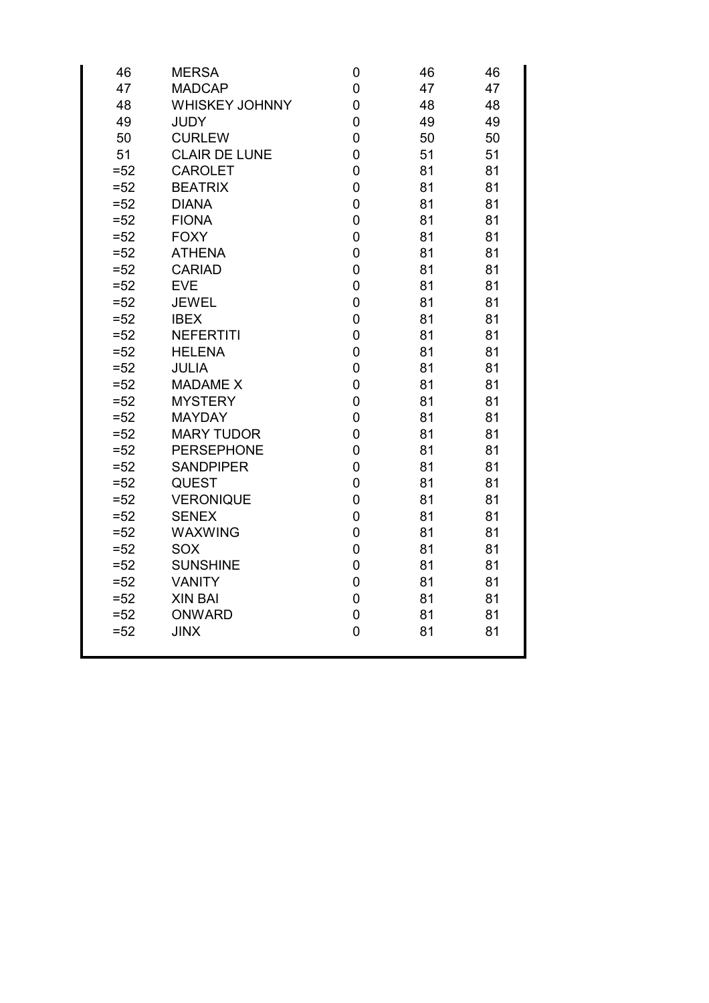| 46     | <b>MERSA</b>          | 0 | 46 | 46 |
|--------|-----------------------|---|----|----|
| 47     | <b>MADCAP</b>         | 0 | 47 | 47 |
| 48     | <b>WHISKEY JOHNNY</b> | 0 | 48 | 48 |
| 49     | <b>JUDY</b>           | 0 | 49 | 49 |
| 50     | <b>CURLEW</b>         | 0 | 50 | 50 |
| 51     | <b>CLAIR DE LUNE</b>  | 0 | 51 | 51 |
| $= 52$ | <b>CAROLET</b>        | 0 | 81 | 81 |
| $= 52$ | <b>BEATRIX</b>        | 0 | 81 | 81 |
| $= 52$ | <b>DIANA</b>          | 0 | 81 | 81 |
| $=52$  | <b>FIONA</b>          | 0 | 81 | 81 |
| $= 52$ | <b>FOXY</b>           | 0 | 81 | 81 |
| $= 52$ | <b>ATHENA</b>         | 0 | 81 | 81 |
| $= 52$ | <b>CARIAD</b>         | 0 | 81 | 81 |
| $= 52$ | <b>EVE</b>            | 0 | 81 | 81 |
| $= 52$ | <b>JEWEL</b>          | 0 | 81 | 81 |
| $= 52$ | <b>IBEX</b>           | 0 | 81 | 81 |
| $=52$  | <b>NEFERTITI</b>      | 0 | 81 | 81 |
| $= 52$ | <b>HELENA</b>         | 0 | 81 | 81 |
| $= 52$ | <b>JULIA</b>          | 0 | 81 | 81 |
| $= 52$ | <b>MADAME X</b>       | 0 | 81 | 81 |
| $= 52$ | <b>MYSTERY</b>        | 0 | 81 | 81 |
| $= 52$ | <b>MAYDAY</b>         | 0 | 81 | 81 |
| $= 52$ | <b>MARY TUDOR</b>     | 0 | 81 | 81 |
| $= 52$ | <b>PERSEPHONE</b>     | 0 | 81 | 81 |
| $= 52$ | <b>SANDPIPER</b>      | 0 | 81 | 81 |
| $= 52$ | <b>QUEST</b>          | 0 | 81 | 81 |
| $= 52$ | <b>VERONIQUE</b>      | 0 | 81 | 81 |
| $= 52$ | <b>SENEX</b>          | 0 | 81 | 81 |
| $= 52$ | <b>WAXWING</b>        | 0 | 81 | 81 |
| $= 52$ | SOX                   | 0 | 81 | 81 |
| $= 52$ | <b>SUNSHINE</b>       | 0 | 81 | 81 |
| $= 52$ | <b>VANITY</b>         | 0 | 81 | 81 |
| $= 52$ | <b>XIN BAI</b>        | 0 | 81 | 81 |
| $= 52$ | <b>ONWARD</b>         | 0 | 81 | 81 |
| $= 52$ | <b>JINX</b>           | 0 | 81 | 81 |
|        |                       |   |    |    |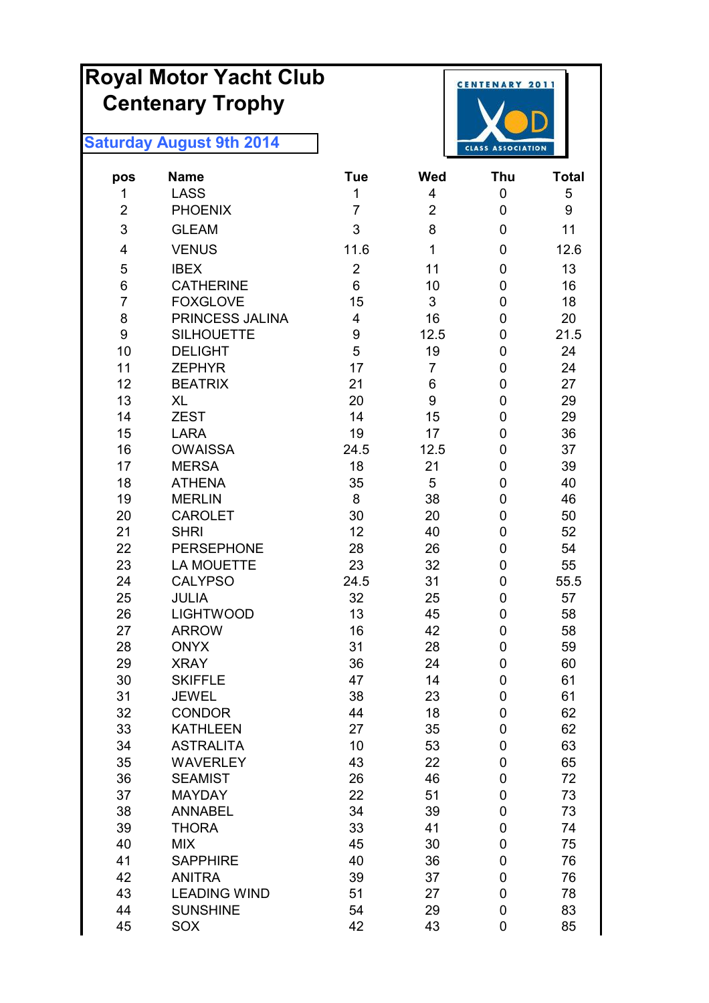#### **Royal Motor Yacht Club CENTENARY 2011 Centenary Trophy Saturday August 9th 2014 CLASS ASSOCIATION pos Name Tue Wed Thu Total** 1 LASS 1 4 0 5 2 PHOENIX 7 2 0 9 3 GLEAM 3 8 0 11 4 VENUS 11.6 1 0 12.6 5 IBEX 2 11 0 13 6 CATHERINE 6 10 0 16 7 FOXGLOVE 15 3 0 18 8 PRINCESS JALINA 4 16 0 20 9 SILHOUETTE 9 12.5 0 21.5 10 DELIGHT 5 19 0 24 11 ZEPHYR 17 7 0 24 12 BEATRIX 21 6 0 27 13 XL 20 9 0 29 14 ZEST 14 15 0 29 15 LARA 19 17 0 36 16 OWAISSA 24.5 12.5 0 37 17 MERSA 18 21 0 39 18 ATHENA 35 5 0 40 19 MERLIN 8 38 0 46 20 CAROLET 30 20 0 50 21 SHRI 12 40 0 52 22 PERSEPHONE 28 26 0 54 23 LA MOUETTE 23 32 0 55 24 CALYPSO 24.5 31 0 55.5 25 JULIA 32 25 0 57 26 LIGHTWOOD 13 45 0 58 27 ARROW 16 42 0 58 28 ONYX 31 28 0 59 29 XRAY 36 24 0 60 30 SKIFFLE 47 14 0 61 31 JEWEL 38 23 0 61 32 CONDOR 44 18 0 62 33 KATHLEEN 27 35 0 62 34 ASTRALITA 10 53 0 63 35 WAVERLEY 43 22 0 65 36 SEAMIST 26 46 0 72 37 MAYDAY 22 51 0 73 38 ANNABEL 34 39 0 73 39 THORA 33 41 0 74 40 MIX 45 30 0 75 41 SAPPHIRE 40 36 0 76 42 ANITRA 39 37 0 76 43 LEADING WIND 51 27 0 78 44 SUNSHINE 54 29 0 83

45 SOX 42 43 0 85